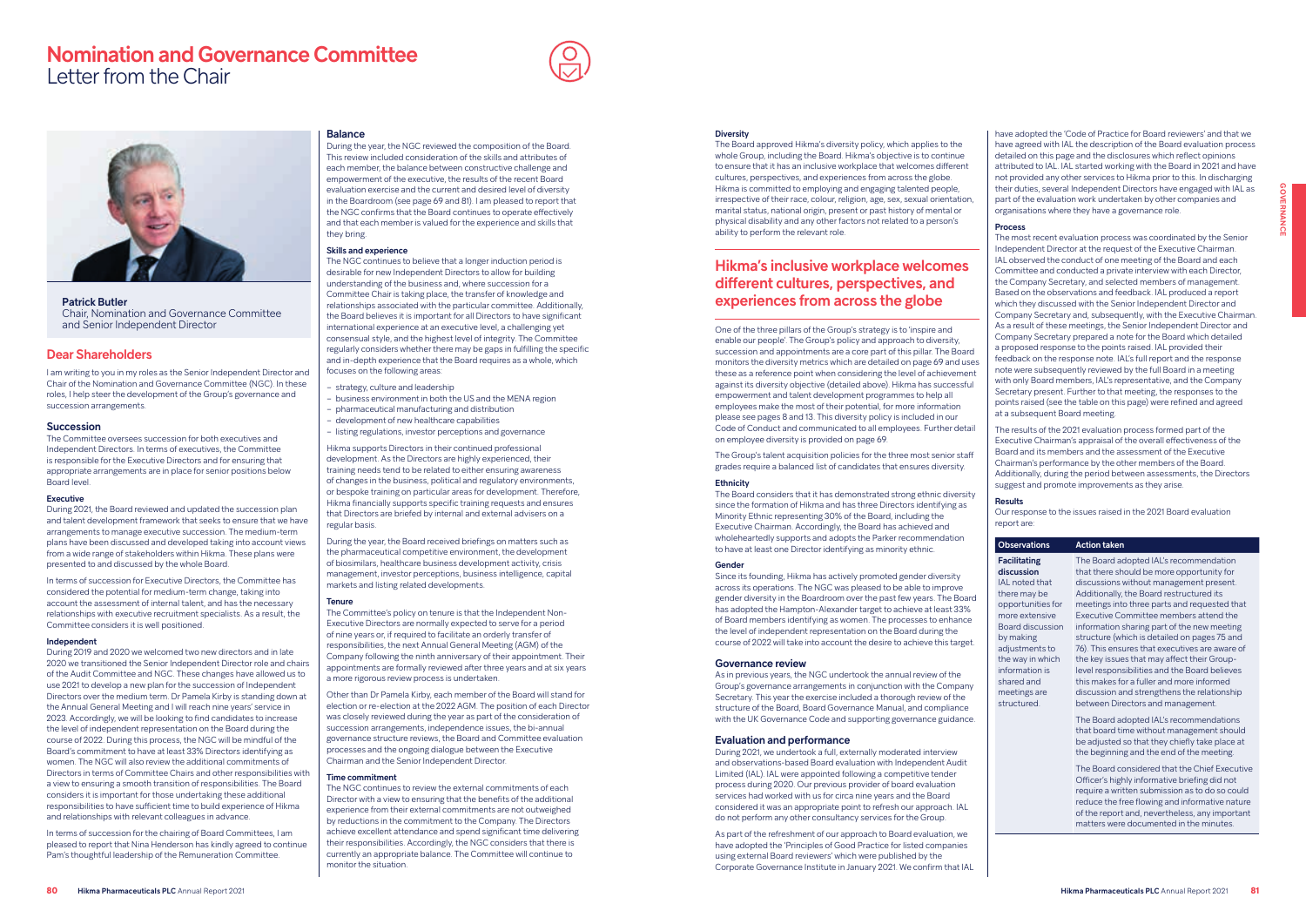Patrick Butler Chair, Nomination and Governance Committee and Senior Independent Director

# Nomination and Governance Committee Letter from the Chair





# Dear Shareholders

I am writing to you in my roles as the Senior Independent Director and Chair of the Nomination and Governance Committee (NGC). In these roles, I help steer the development of the Group's governance and succession arrangements.

## Succession

The Committee oversees succession for both executives and Independent Directors. In terms of executives, the Committee is responsible for the Executive Directors and for ensuring that appropriate arrangements are in place for senior positions below Board level.

## **Executive**

In terms of succession for Executive Directors, the Committee has considered the potential for medium-term change, taking into account the assessment of internal talent, and has the necessary relationships with executive recruitment specialists. As a result, the Committee considers it is well positioned.

During 2021, the Board reviewed and updated the succession plan and talent development framework that seeks to ensure that we have arrangements to manage executive succession. The medium-term plans have been discussed and developed taking into account views from a wide range of stakeholders within Hikma. These plans were presented to and discussed by the whole Board.

In terms of succession for the chairing of Board Committees, I am pleased to report that Nina Henderson has kindly agreed to continue Pam's thoughtful leadership of the Remuneration Committee.

#### Independent

During 2019 and 2020 we welcomed two new directors and in late 2020 we transitioned the Senior Independent Director role and chairs of the Audit Committee and NGC. These changes have allowed us to use 2021 to develop a new plan for the succession of Independent Directors over the medium term. Dr Pamela Kirby is standing down at the Annual General Meeting and I will reach nine years' service in 2023. Accordingly, we will be looking to find candidates to increase the level of independent representation on the Board during the course of 2022. During this process, the NGC will be mindful of the Board's commitment to have at least 33% Directors identifying as women. The NGC will also review the additional commitments of Directors in terms of Committee Chairs and other responsibilities with a view to ensuring a smooth transition of responsibilities. The Board considers it is important for those undertaking these additional responsibilities to have sufficient time to build experience of Hikma and relationships with relevant colleagues in advance.

### Balance

During the year, the NGC reviewed the composition of the Board. This review included consideration of the skills and attributes of each member, the balance between constructive challenge and empowerment of the executive, the results of the recent Board evaluation exercise and the current and desired level of diversity in the Boardroom (see page 69 and 81). I am pleased to report that the NGC confirms that the Board continues to operate effectively and that each member is valued for the experience and skills that they bring.

## Skills and experience

The NGC continues to believe that a longer induction period is desirable for new Independent Directors to allow for building understanding of the business and, where succession for a Committee Chair is taking place, the transfer of knowledge and relationships associated with the particular committee. Additionally, the Board believes it is important for all Directors to have significant international experience at an executive level, a challenging yet consensual style, and the highest level of integrity. The Committee regularly considers whether there may be gaps in fulfilling the specific and in-depth experience that the Board requires as a whole, which focuses on the following areas:

- strategy, culture and leadership
- business environment in both the US and the MENA region
- pharmaceutical manufacturing and distribution
- development of new healthcare capabilities
- listing regulations, investor perceptions and governance

Hikma supports Directors in their continued professional development. As the Directors are highly experienced, their training needs tend to be related to either ensuring awareness of changes in the business, political and regulatory environments, or bespoke training on particular areas for development. Therefore, Hikma financially supports specific training requests and ensures that Directors are briefed by internal and external advisers on a regular basis.

During the year, the Board received briefings on matters such as the pharmaceutical competitive environment, the development of biosimilars, healthcare business development activity, crisis management, investor perceptions, business intelligence, capital markets and listing related developments.

### **Tenure**

The Committee's policy on tenure is that the Independent Non-Executive Directors are normally expected to serve for a period of nine years or, if required to facilitate an orderly transfer of responsibilities, the next Annual General Meeting (AGM) of the Company following the ninth anniversary of their appointment. Their appointments are formally reviewed after three years and at six years a more rigorous review process is undertaken.

Other than Dr Pamela Kirby, each member of the Board will stand for election or re-election at the 2022 AGM. The position of each Director was closely reviewed during the year as part of the consideration of succession arrangements, independence issues, the bi-annual governance structure reviews, the Board and Committee evaluation processes and the ongoing dialogue between the Executive Chairman and the Senior Independent Director.

#### Time commitment

The NGC continues to review the external commitments of each Director with a view to ensuring that the benefits of the additional experience from their external commitments are not outweighed by reductions in the commitment to the Company. The Directors achieve excellent attendance and spend significant time delivering their responsibilities. Accordingly, the NGC considers that there is currently an appropriate balance. The Committee will continue to monitor the situation.

### **Diversity**

The Board approved Hikma's diversity policy, which applies to the whole Group, including the Board. Hikma's objective is to continue to ensure that it has an inclusive workplace that welcomes different cultures, perspectives, and experiences from across the globe. Hikma is committed to employing and engaging talented people, irrespective of their race, colour, religion, age, sex, sexual orientation, marital status, national origin, present or past history of mental or physical disability and any other factors not related to a person's ability to perform the relevant role.

# Hikma's inclusive workplace welcomes different cultures, perspectives, and experiences from across the globe

One of the three pillars of the Group's strategy is to 'inspire and enable our people'. The Group's policy and approach to diversity, succession and appointments are a core part of this pillar. The Board monitors the diversity metrics which are detailed on page 69 and uses these as a reference point when considering the level of achievement against its diversity objective (detailed above). Hikma has successful empowerment and talent development programmes to help all employees make the most of their potential, for more information please see pages 8 and 13. This diversity policy is included in our Code of Conduct and communicated to all employees. Further detail on employee diversity is provided on page 69.

The Group's talent acquisition policies for the three most senior staff grades require a balanced list of candidates that ensures diversity.

### **Ethnicity**

The Board considers that it has demonstrated strong ethnic diversity since the formation of Hikma and has three Directors identifying as Minority Ethnic representing 30% of the Board, including the Executive Chairman. Accordingly, the Board has achieved and wholeheartedly supports and adopts the Parker recommendation to have at least one Director identifying as minority ethnic.

## Gender

Since its founding, Hikma has actively promoted gender diversity across its operations. The NGC was pleased to be able to improve gender diversity in the Boardroom over the past few years. The Board has adopted the Hampton-Alexander target to achieve at least 33% of Board members identifying as women. The processes to enhance the level of independent representation on the Board during the course of 2022 will take into account the desire to achieve this target.

#### Governance review

As in previous years, the NGC undertook the annual review of the Group's governance arrangements in conjunction with the Company Secretary. This year the exercise included a thorough review of the structure of the Board, Board Governance Manual, and compliance with the UK Governance Code and supporting governance guidance.

#### Evaluation and performance

During 2021, we undertook a full, externally moderated interview and observations-based Board evaluation with Independent Audit Limited (IAL). IAL were appointed following a competitive tender process during 2020. Our previous provider of board evaluation services had worked with us for circa nine years and the Board considered it was an appropriate point to refresh our approach. IAL do not perform any other consultancy services for the Group.

As part of the refreshment of our approach to Board evaluation, we have adopted the 'Principles of Good Practice for listed companies using external Board reviewers' which were published by the Corporate Governance Institute in January 2021. We confirm that IAL

have adopted the 'Code of Practice for Board reviewers' and that we have agreed with IAL the description of the Board evaluation process detailed on this page and the disclosures which reflect opinions attributed to IAL. IAL started working with the Board in 2021 and have not provided any other services to Hikma prior to this. In discharging their duties, several Independent Directors have engaged with IAL as part of the evaluation work undertaken by other companies and organisations where they have a governance role.

## Process

The most recent evaluation process was coordinated by the Senior Independent Director at the request of the Executive Chairman. IAL observed the conduct of one meeting of the Board and each Committee and conducted a private interview with each Director, the Company Secretary, and selected members of management. Based on the observations and feedback. IAL produced a report which they discussed with the Senior Independent Director and Company Secretary and, subsequently, with the Executive Chairman. As a result of these meetings, the Senior Independent Director and Company Secretary prepared a note for the Board which detailed a proposed response to the points raised. IAL provided their feedback on the response note. IAL's full report and the response note were subsequently reviewed by the full Board in a meeting with only Board members, IAL's representative, and the Company Secretary present. Further to that meeting, the responses to the points raised (see the table on this page) were refined and agreed at a subsequent Board meeting.

The results of the 2021 evaluation process formed part of the Executive Chairman's appraisal of the overall effectiveness of the Board and its members and the assessment of the Executive Chairman's performance by the other members of the Board. Additionally, during the period between assessments, the Directors suggest and promote improvements as they arise.

#### Results

Our response to the issues raised in the 2021 Board evaluation report are:

| <b>Observations</b>                                                                                                                                                                                                                                            | <b>Action taken</b>                                                                                                                                                                                                                                                                                                                                                                                                                                                                                                                                                                                                                                    |
|----------------------------------------------------------------------------------------------------------------------------------------------------------------------------------------------------------------------------------------------------------------|--------------------------------------------------------------------------------------------------------------------------------------------------------------------------------------------------------------------------------------------------------------------------------------------------------------------------------------------------------------------------------------------------------------------------------------------------------------------------------------------------------------------------------------------------------------------------------------------------------------------------------------------------------|
| <b>Facilitating</b><br>discussion<br><b>IAL</b> noted that<br>there may be<br>opportunities for<br>more extensive<br><b>Board discussion</b><br>by making<br>adjustments to<br>the way in which<br>information is<br>shared and<br>meetings are<br>structured. | The Board adopted IAL's recommendation<br>that there should be more opportunity for<br>discussions without management present.<br>Additionally, the Board restructured its<br>meetings into three parts and requested that<br>Executive Committee members attend the<br>information sharing part of the new meeting<br>structure (which is detailed on pages 75 and<br>76). This ensures that executives are aware of<br>the key issues that may affect their Group-<br>level responsibilities and the Board believes<br>this makes for a fuller and more informed<br>discussion and strengthens the relationship<br>between Directors and management. |
|                                                                                                                                                                                                                                                                | The Board adopted IAL's recommendations<br>that board time without management should<br>be adjusted so that they chiefly take place at<br>the beginning and the end of the meeting.                                                                                                                                                                                                                                                                                                                                                                                                                                                                    |
|                                                                                                                                                                                                                                                                | The Board considered that the Chief Executive<br>Officer's highly informative briefing did not<br>require a written submission as to do so could<br>reduce the free flowing and informative nature<br>of the report and, nevertheless, any important                                                                                                                                                                                                                                                                                                                                                                                                   |

matters were documented in the minutes.